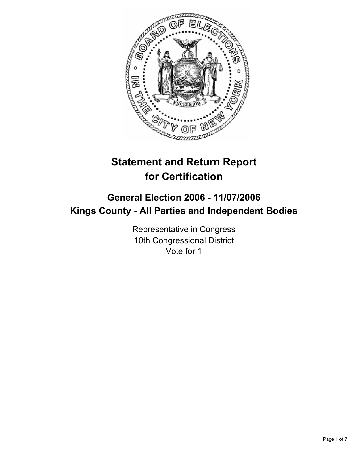

# **Statement and Return Report for Certification**

# **General Election 2006 - 11/07/2006 Kings County - All Parties and Independent Bodies**

Representative in Congress 10th Congressional District Vote for 1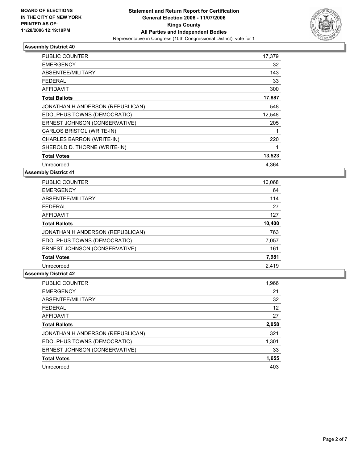

| PUBLIC COUNTER                   | 17,379 |  |
|----------------------------------|--------|--|
| <b>EMERGENCY</b>                 | 32     |  |
| ABSENTEE/MILITARY                | 143    |  |
| <b>FEDERAL</b>                   | 33     |  |
| <b>AFFIDAVIT</b>                 | 300    |  |
| <b>Total Ballots</b>             | 17,887 |  |
| JONATHAN H ANDERSON (REPUBLICAN) | 548    |  |
| EDOLPHUS TOWNS (DEMOCRATIC)      | 12,548 |  |
| ERNEST JOHNSON (CONSERVATIVE)    | 205    |  |
| CARLOS BRISTOL (WRITE-IN)        |        |  |
| CHARLES BARRON (WRITE-IN)        | 220    |  |
| SHEROLD D. THORNE (WRITE-IN)     |        |  |
| <b>Total Votes</b>               | 13,523 |  |
| Unrecorded                       | 4.364  |  |

**Assembly District 41**

| PUBLIC COUNTER                   | 10,068 |
|----------------------------------|--------|
| <b>EMERGENCY</b>                 | 64     |
| ABSENTEE/MILITARY                | 114    |
| <b>FEDERAL</b>                   | 27     |
| AFFIDAVIT                        | 127    |
| <b>Total Ballots</b>             | 10,400 |
| JONATHAN H ANDERSON (REPUBLICAN) | 763    |
| EDOLPHUS TOWNS (DEMOCRATIC)      | 7,057  |
| ERNEST JOHNSON (CONSERVATIVE)    | 161    |
| <b>Total Votes</b>               | 7,981  |
| Unrecorded                       | 2,419  |

| 1,966 |
|-------|
| 21    |
| 32    |
| 12    |
| 27    |
| 2,058 |
| 321   |
| 1,301 |
| 33    |
| 1,655 |
| 403   |
|       |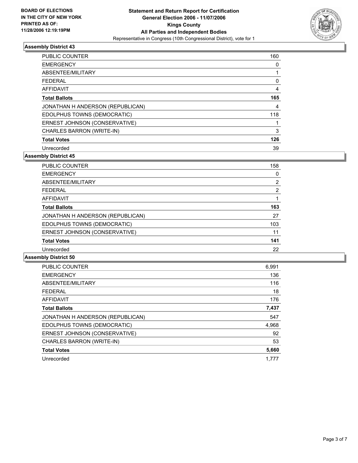

| <b>PUBLIC COUNTER</b>            | 160 |
|----------------------------------|-----|
| <b>EMERGENCY</b>                 |     |
| ABSENTEE/MILITARY                |     |
| <b>FEDERAL</b>                   |     |
| AFFIDAVIT                        |     |
| <b>Total Ballots</b>             | 165 |
| JONATHAN H ANDERSON (REPUBLICAN) | 4   |
| EDOLPHUS TOWNS (DEMOCRATIC)      | 118 |
| ERNEST JOHNSON (CONSERVATIVE)    |     |
| CHARLES BARRON (WRITE-IN)        | 3   |
| <b>Total Votes</b>               | 126 |
| Unrecorded                       | 39  |

**Assembly District 45**

| PUBLIC COUNTER                   | 158 |  |
|----------------------------------|-----|--|
| <b>EMERGENCY</b>                 |     |  |
| ABSENTEE/MILITARY                | 2   |  |
| <b>FEDERAL</b>                   | 2   |  |
| <b>AFFIDAVIT</b>                 |     |  |
| <b>Total Ballots</b>             | 163 |  |
| JONATHAN H ANDERSON (REPUBLICAN) | 27  |  |
| EDOLPHUS TOWNS (DEMOCRATIC)      | 103 |  |
| ERNEST JOHNSON (CONSERVATIVE)    | 11  |  |
| <b>Total Votes</b>               | 141 |  |
| Unrecorded                       | 22  |  |

| <b>PUBLIC COUNTER</b>            | 6,991 |
|----------------------------------|-------|
| <b>EMERGENCY</b>                 | 136   |
| ABSENTEE/MILITARY                | 116   |
| <b>FEDERAL</b>                   | 18    |
| AFFIDAVIT                        | 176   |
| <b>Total Ballots</b>             | 7,437 |
| JONATHAN H ANDERSON (REPUBLICAN) | 547   |
| EDOLPHUS TOWNS (DEMOCRATIC)      | 4,968 |
| ERNEST JOHNSON (CONSERVATIVE)    | 92    |
| CHARLES BARRON (WRITE-IN)        | 53    |
| <b>Total Votes</b>               | 5,660 |
| Unrecorded                       | 1.777 |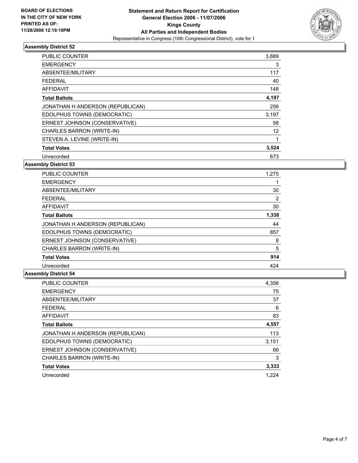

| PUBLIC COUNTER                   | 3,889 |  |
|----------------------------------|-------|--|
| <b>EMERGENCY</b>                 | 3     |  |
| ABSENTEE/MILITARY                | 117   |  |
| <b>FEDERAL</b>                   | 40    |  |
| AFFIDAVIT                        | 148   |  |
| <b>Total Ballots</b>             | 4,197 |  |
| JONATHAN H ANDERSON (REPUBLICAN) | 256   |  |
| EDOLPHUS TOWNS (DEMOCRATIC)      | 3,197 |  |
| ERNEST JOHNSON (CONSERVATIVE)    | 58    |  |
| CHARLES BARRON (WRITE-IN)        | 12    |  |
| STEVEN A. LEVINE (WRITE-IN)      |       |  |
| <b>Total Votes</b>               | 3,524 |  |
| Unrecorded                       | 673   |  |

### **Assembly District 53**

| <b>PUBLIC COUNTER</b>            | 1,275 |
|----------------------------------|-------|
| <b>EMERGENCY</b>                 |       |
| ABSENTEE/MILITARY                | 30    |
| <b>FEDERAL</b>                   | 2     |
| <b>AFFIDAVIT</b>                 | 30    |
| <b>Total Ballots</b>             | 1,338 |
| JONATHAN H ANDERSON (REPUBLICAN) | 44    |
| EDOLPHUS TOWNS (DEMOCRATIC)      | 857   |
| ERNEST JOHNSON (CONSERVATIVE)    | 8     |
| CHARLES BARRON (WRITE-IN)        | 5     |
| <b>Total Votes</b>               | 914   |
| Unrecorded                       | 424   |

| <b>PUBLIC COUNTER</b>            | 4,356 |
|----------------------------------|-------|
| <b>EMERGENCY</b>                 | 75    |
| ABSENTEE/MILITARY                | 37    |
| <b>FEDERAL</b>                   | 6     |
| <b>AFFIDAVIT</b>                 | 83    |
| <b>Total Ballots</b>             | 4,557 |
| JONATHAN H ANDERSON (REPUBLICAN) | 113   |
| EDOLPHUS TOWNS (DEMOCRATIC)      | 3,151 |
| ERNEST JOHNSON (CONSERVATIVE)    | 66    |
| CHARLES BARRON (WRITE-IN)        | 3     |
| <b>Total Votes</b>               | 3,333 |
| Unrecorded                       | 1.224 |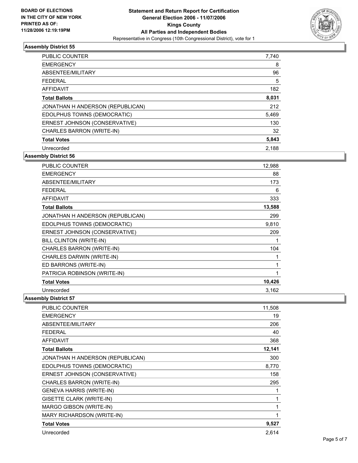

| PUBLIC COUNTER                   | 7,740 |
|----------------------------------|-------|
| <b>EMERGENCY</b>                 | 8     |
| ABSENTEE/MILITARY                | 96    |
| <b>FEDERAL</b>                   | 5     |
| <b>AFFIDAVIT</b>                 | 182   |
| <b>Total Ballots</b>             | 8,031 |
| JONATHAN H ANDERSON (REPUBLICAN) | 212   |
| EDOLPHUS TOWNS (DEMOCRATIC)      | 5,469 |
| ERNEST JOHNSON (CONSERVATIVE)    | 130   |
| CHARLES BARRON (WRITE-IN)        | 32    |
| <b>Total Votes</b>               | 5,843 |
| Unrecorded                       | 2.188 |

**Assembly District 56**

| <b>PUBLIC COUNTER</b>            | 12,988 |
|----------------------------------|--------|
| <b>EMERGENCY</b>                 | 88     |
| ABSENTEE/MILITARY                | 173    |
| <b>FEDERAL</b>                   | 6      |
| <b>AFFIDAVIT</b>                 | 333    |
| <b>Total Ballots</b>             | 13,588 |
| JONATHAN H ANDERSON (REPUBLICAN) | 299    |
| EDOLPHUS TOWNS (DEMOCRATIC)      | 9,810  |
| ERNEST JOHNSON (CONSERVATIVE)    | 209    |
| BILL CLINTON (WRITE-IN)          |        |
| CHARLES BARRON (WRITE-IN)        | 104    |
| CHARLES DARWIN (WRITE-IN)        |        |
| ED BARRONS (WRITE-IN)            |        |
| PATRICIA ROBINSON (WRITE-IN)     |        |
| <b>Total Votes</b>               | 10,426 |
| Unrecorded                       | 3,162  |

| PUBLIC COUNTER                   | 11,508 |
|----------------------------------|--------|
| <b>EMERGENCY</b>                 | 19     |
| ABSENTEE/MILITARY                | 206    |
| <b>FEDERAL</b>                   | 40     |
| <b>AFFIDAVIT</b>                 | 368    |
| <b>Total Ballots</b>             | 12,141 |
| JONATHAN H ANDERSON (REPUBLICAN) | 300    |
| EDOLPHUS TOWNS (DEMOCRATIC)      | 8,770  |
| ERNEST JOHNSON (CONSERVATIVE)    | 158    |
| CHARLES BARRON (WRITE-IN)        | 295    |
| <b>GENEVA HARRIS (WRITE-IN)</b>  |        |
| GISETTE CLARK (WRITE-IN)         |        |
| MARGO GIBSON (WRITE-IN)          |        |
| MARY RICHARDSON (WRITE-IN)       |        |
| <b>Total Votes</b>               | 9,527  |
| Unrecorded                       | 2,614  |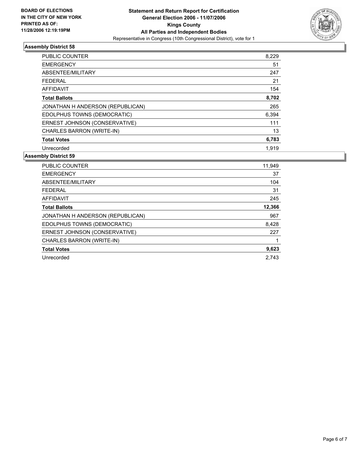

| <b>PUBLIC COUNTER</b>            | 8,229 |
|----------------------------------|-------|
| <b>EMERGENCY</b>                 | 51    |
| ABSENTEE/MILITARY                | 247   |
| FEDERAL                          | 21    |
| AFFIDAVIT                        | 154   |
| <b>Total Ballots</b>             | 8,702 |
| JONATHAN H ANDERSON (REPUBLICAN) | 265   |
| EDOLPHUS TOWNS (DEMOCRATIC)      | 6,394 |
| ERNEST JOHNSON (CONSERVATIVE)    | 111   |
| CHARLES BARRON (WRITE-IN)        | 13    |
| <b>Total Votes</b>               | 6,783 |
| Unrecorded                       | 1,919 |

| <b>PUBLIC COUNTER</b>            | 11,949 |
|----------------------------------|--------|
| <b>EMERGENCY</b>                 | 37     |
| ABSENTEE/MILITARY                | 104    |
| FEDERAL                          | 31     |
| <b>AFFIDAVIT</b>                 | 245    |
| <b>Total Ballots</b>             | 12,366 |
| JONATHAN H ANDERSON (REPUBLICAN) | 967    |
| EDOLPHUS TOWNS (DEMOCRATIC)      | 8,428  |
| ERNEST JOHNSON (CONSERVATIVE)    | 227    |
| CHARLES BARRON (WRITE-IN)        |        |
| <b>Total Votes</b>               | 9,623  |
| Unrecorded                       | 2,743  |